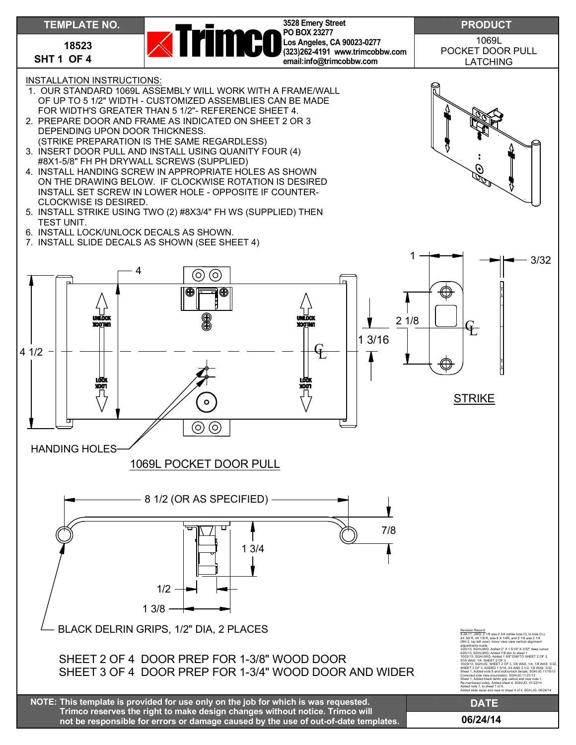## **TEMPLATE NO.**

**18523 SHT 1 OF 4**



**3528 Emery Street PO BOX 23277 Los Angeles, CA 90023-0277 (323)262-4191 www.trimcobbw.com email:info@trimcobbw.com**

1069L POCKET DOOR PULL LATCHING

INSTALLATION INSTRUCTIONS:

- 1. OUR STANDARD 1069L ASSEMBLY WILL WORK WITH A FRAME/WALL OF UP TO 5 1/2" WIDTH - CUSTOMIZED ASSEMBLIES CAN BE MADE FOR WIDTH'S GREATER THAN 5 1/2"- REFERENCE SHEET 4.
- 2. PREPARE DOOR AND FRAME AS INDICATED ON SHEET 2 OR 3 DEPENDING UPON DOOR THICKNESS. (STRIKE PREPARATION IS THE SAME REGARDLESS)
- 3. INSERT DOOR PULL AND INSTALL USING QUANITY FOUR (4) #8X1-5/8" FH PH DRYWALL SCREWS (SUPPLIED)
- 4. INSTALL HANDING SCREW IN APPROPRIATE HOLES AS SHOWN ON THE DRAWING BELOW. IF CLOCKWISE ROTATION IS DESIRED INSTALL SET SCREW IN LOWER HOLE - OPPOSITE IF COUNTER-CLOCKWISE IS DESIRED.
- 5. INSTALL STRIKE USING TWO (2) #8X3/4" FH WS (SUPPLIED) THEN TEST UNIT.
- 6. INSTALL LOCK/UNLOCK DECALS AS SHOWN.
- 7. INSTALL SLIDE DECALS AS SHOWN (SEE SHEET 4)



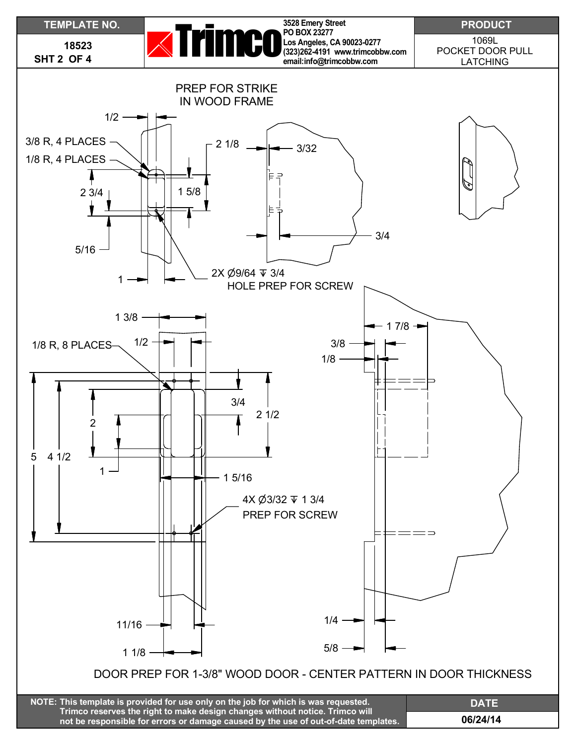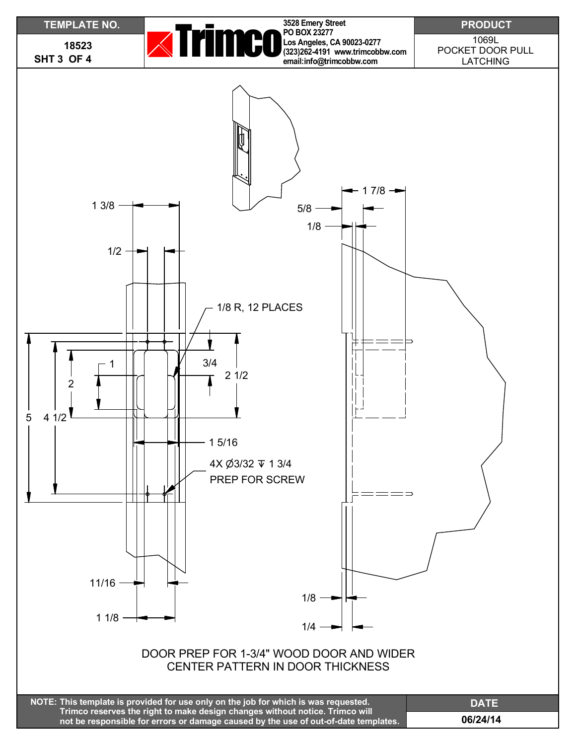